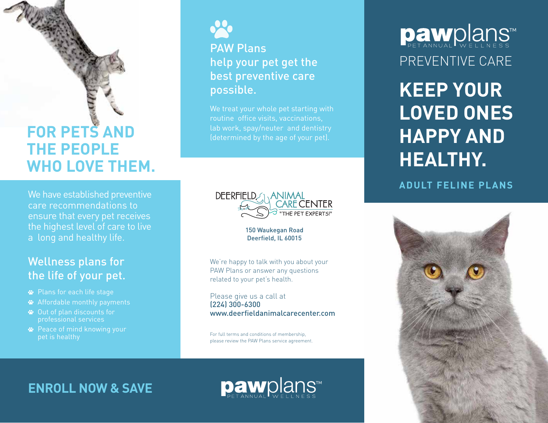## **FOR PETS AND THE PEOPLE WHO LOVE THEM.**

We have established preventive care recommendations to ensure that every pet receives the highest level of care to live a long and healthy life.

### Wellness plans for the life of your pet.

- Plans for each life stage
- Affordable monthly payments
- Out of plan discounts for professional services
- Peace of mind knowing your pet is healthy



PAW Plans help your pet get the best preventive care possible.

We treat your whole pet starting with routine office visits, vaccinations, lab work, spay/neuter and dentistry (determined by the age of your pet).



150 Waukegan Road Deerfield, IL 60015

We're happy to talk with you about your PAW Plans or answer any questions related to your pet's health.

Please give us a call at (224) 300-6300 www.deerfieldanimalcarecenter.com

For full terms and conditions of membership, please review the PAW Plans service agreement.

# PREVENTIVE CARE Dawplans

**KEEP YOUR LOVED ONES HAPPY AND HEALTHY.**

#### **ADULT FELINE PLANS**



**ENROLL NOW & SAVE**